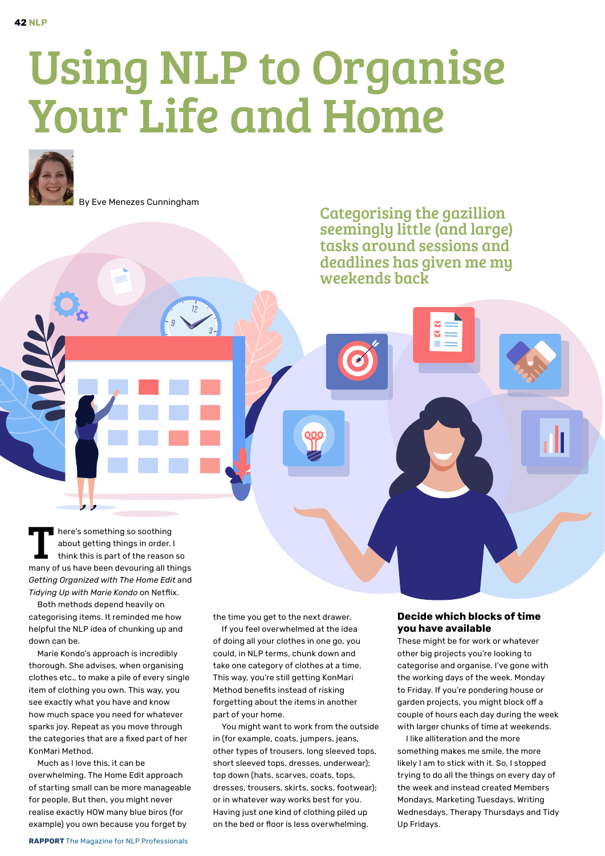## Using NLP to Organise Your Life and Home



By Eve Menezes Cunningham

Categorising the gazillion seemingly little (and large) tasks around sessions and deadlines has given me my weekends back

T here's something so soothing<br>about getting things in order.<br>think this is part of the reason about getting things in order. I think this is part of the reason so many of us have been devouring all things *Getting Organized with The Home Edit* and *Tidying Up with Marie Kondo* on Netflix.

Both methods depend heavily on categorising items. It reminded me how helpful the NLP idea of chunking up and down can be.

Marie Kondo's approach is incredibly thorough. She advises, when organising clothes etc., to make a pile of every single item of clothing you own. This way, you see exactly what you have and know how much space you need for whatever sparks joy. Repeat as you move through the categories that are a fixed part of her KonMari Method.

Much as I love this, it can be overwhelming. The Home Edit approach of starting small can be more manageable for people. But then, you might never realise exactly HOW many blue biros (for example) you own because you forget by

the time you get to the next drawer.

If you feel overwhelmed at the idea of doing all your clothes in one go, you could, in NLP terms, chunk down and take one category of clothes at a time. This way, you're still getting KonMari Method benefits instead of risking forgetting about the items in another part of your home.

You might want to work from the outside in (for example, coats, jumpers, jeans, other types of trousers, long sleeved tops, short sleeved tops, dresses, underwear); top down (hats, scarves, coats, tops, dresses, trousers, skirts, socks, footwear); or in whatever way works best for you. Having just one kind of clothing piled up on the bed or floor is less overwhelming.

## **Decide which blocks of time you have available**

These might be for work or whatever other big projects you're looking to categorise and organise. I've gone with the working days of the week. Monday to Friday. If you're pondering house or garden projects, you might block off a couple of hours each day during the week with larger chunks of time at weekends.

I like alliteration and the more something makes me smile, the more likely I am to stick with it. So, I stopped trying to do all the things on every day of the week and instead created Members Mondays, Marketing Tuesdays, Writing Wednesdays, Therapy Thursdays and Tidy Up Fridays.